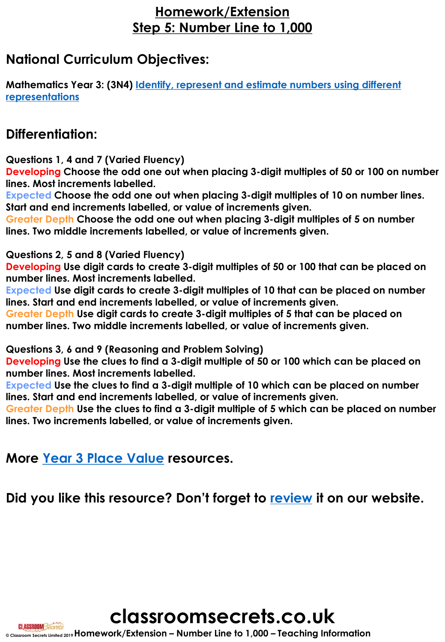### **Homework/Extension Step 5: Number Line to 1,000**

### **National Curriculum Objectives:**

**[Mathematics Year 3: \(3N4\) Identify, represent and estimate numbers using different](https://classroomsecrets.co.uk/content-domain-filter/?fwp_contentdomain=3n4) representations**

### **Differentiation:**

**Questions 1, 4 and 7 (Varied Fluency)**

**Developing Choose the odd one out when placing 3-digit multiples of 50 or 100 on number lines. Most increments labelled.**

**Expected Choose the odd one out when placing 3-digit multiples of 10 on number lines. Start and end increments labelled, or value of increments given.**

**Greater Depth Choose the odd one out when placing 3-digit multiples of 5 on number lines. Two middle increments labelled, or value of increments given.**

#### **Questions 2, 5 and 8 (Varied Fluency)**

**Developing Use digit cards to create 3-digit multiples of 50 or 100 that can be placed on number lines. Most increments labelled.**

**Expected Use digit cards to create 3-digit multiples of 10 that can be placed on number lines. Start and end increments labelled, or value of increments given.**

**Greater Depth Use digit cards to create 3-digit multiples of 5 that can be placed on number lines. Two middle increments labelled, or value of increments given.**

#### **Questions 3, 6 and 9 (Reasoning and Problem Solving)**

**Developing Use the clues to find a 3-digit multiple of 50 or 100 which can be placed on number lines. Most increments labelled.**

**Expected Use the clues to find a 3-digit multiple of 10 which can be placed on number lines. Start and end increments labelled, or value of increments given.**

**Greater Depth Use the clues to find a 3-digit multiple of 5 which can be placed on number lines. Two increments labelled, or value of increments given.**

**More [Year 3 Place Value](httpshttps://classroomsecrets.co.uk/category/maths/year-3/autumn-block-1-place-value-year-3/) resources.**

**Did you like this resource? Don't forget to [review](https://classroomsecrets.co.uk/number-line-to-1000-homework-extension-year-3-place-value/) it on our website.**



**CLASSROOM** Secrets **© Classroom Secrets Limited 2019Homework/Extension – Number Line to 1,000 – Teaching Information**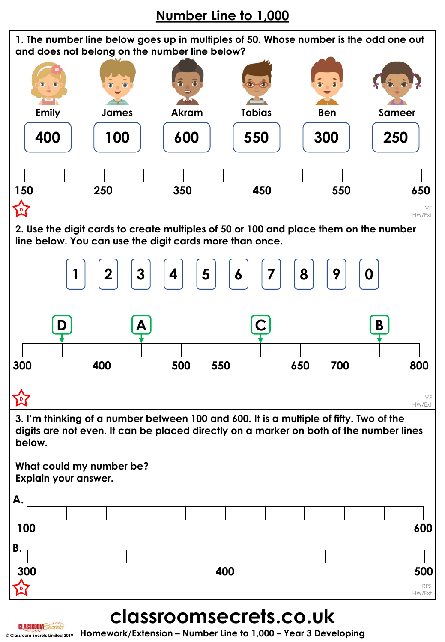## **Number Line to 1,000**



# **classroomsecrets.co.uk**

**© Classroom Secrets Limited 2019 Homework/Extension – Number Line to 1,000 – Year 3 Developing**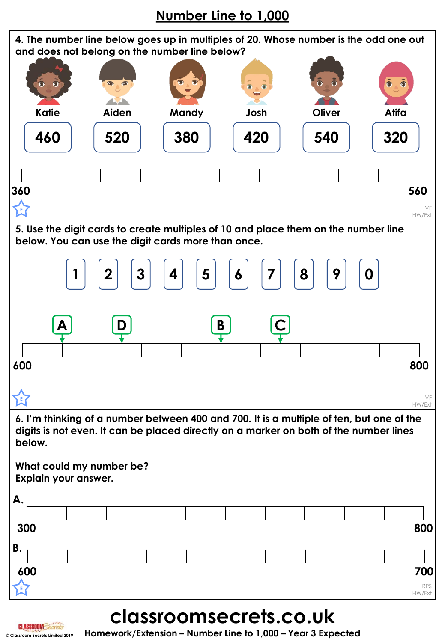## **Number Line to 1,000**



**classroomsecrets.co.uk**

**© Classroom Secrets Limited 2019 Homework/Extension – Number Line to 1,000 – Year 3 Expected**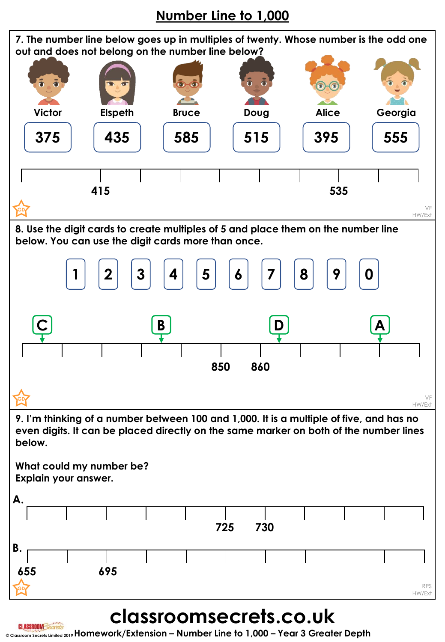## **Number Line to 1,000**

**7. The number line below goes up in multiples of twenty. Whose number is the odd one out and does not belong on the number line below?**



**8. Use the digit cards to create multiples of 5 and place them on the number line below. You can use the digit cards more than once.**



**9. I'm thinking of a number between 100 and 1,000. It is a multiple of five, and has no even digits. It can be placed directly on the same marker on both of the number lines below.** 

**What could my number be? Explain your answer.** 



# **classroomsecrets.co.uk**

**© Classroom Secrets Limited 2019Homework/Extension – Number Line to 1,000 – Year 3 Greater Depth**